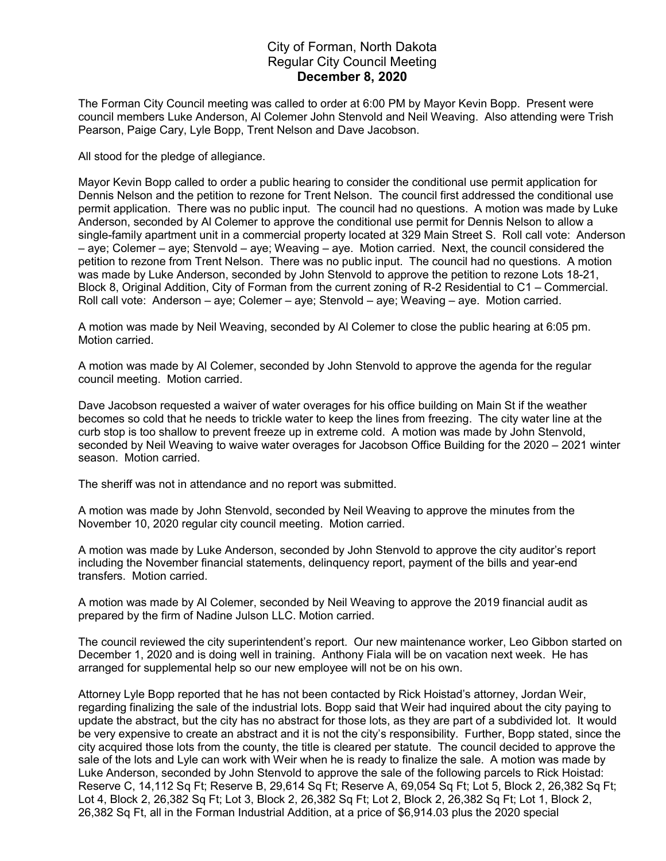## City of Forman, North Dakota Regular City Council Meeting December 8, 2020

The Forman City Council meeting was called to order at 6:00 PM by Mayor Kevin Bopp. Present were council members Luke Anderson, Al Colemer John Stenvold and Neil Weaving. Also attending were Trish Pearson, Paige Cary, Lyle Bopp, Trent Nelson and Dave Jacobson.

All stood for the pledge of allegiance.

Mayor Kevin Bopp called to order a public hearing to consider the conditional use permit application for Dennis Nelson and the petition to rezone for Trent Nelson. The council first addressed the conditional use permit application. There was no public input. The council had no questions. A motion was made by Luke Anderson, seconded by Al Colemer to approve the conditional use permit for Dennis Nelson to allow a single-family apartment unit in a commercial property located at 329 Main Street S. Roll call vote: Anderson – aye; Colemer – aye; Stenvold – aye; Weaving – aye. Motion carried. Next, the council considered the petition to rezone from Trent Nelson. There was no public input. The council had no questions. A motion was made by Luke Anderson, seconded by John Stenvold to approve the petition to rezone Lots 18-21, Block 8, Original Addition, City of Forman from the current zoning of R-2 Residential to C1 – Commercial. Roll call vote: Anderson – aye; Colemer – aye; Stenvold – aye; Weaving – aye. Motion carried.

A motion was made by Neil Weaving, seconded by Al Colemer to close the public hearing at 6:05 pm. Motion carried.

A motion was made by Al Colemer, seconded by John Stenvold to approve the agenda for the regular council meeting. Motion carried.

Dave Jacobson requested a waiver of water overages for his office building on Main St if the weather becomes so cold that he needs to trickle water to keep the lines from freezing. The city water line at the curb stop is too shallow to prevent freeze up in extreme cold. A motion was made by John Stenvold, seconded by Neil Weaving to waive water overages for Jacobson Office Building for the 2020 – 2021 winter season. Motion carried.

The sheriff was not in attendance and no report was submitted.

A motion was made by John Stenvold, seconded by Neil Weaving to approve the minutes from the November 10, 2020 regular city council meeting. Motion carried.

A motion was made by Luke Anderson, seconded by John Stenvold to approve the city auditor's report including the November financial statements, delinquency report, payment of the bills and year-end transfers. Motion carried.

A motion was made by Al Colemer, seconded by Neil Weaving to approve the 2019 financial audit as prepared by the firm of Nadine Julson LLC. Motion carried.

The council reviewed the city superintendent's report. Our new maintenance worker, Leo Gibbon started on December 1, 2020 and is doing well in training. Anthony Fiala will be on vacation next week. He has arranged for supplemental help so our new employee will not be on his own.

Attorney Lyle Bopp reported that he has not been contacted by Rick Hoistad's attorney, Jordan Weir, regarding finalizing the sale of the industrial lots. Bopp said that Weir had inquired about the city paying to update the abstract, but the city has no abstract for those lots, as they are part of a subdivided lot. It would be very expensive to create an abstract and it is not the city's responsibility. Further, Bopp stated, since the city acquired those lots from the county, the title is cleared per statute. The council decided to approve the sale of the lots and Lyle can work with Weir when he is ready to finalize the sale. A motion was made by Luke Anderson, seconded by John Stenvold to approve the sale of the following parcels to Rick Hoistad: Reserve C, 14,112 Sq Ft; Reserve B, 29,614 Sq Ft; Reserve A, 69,054 Sq Ft; Lot 5, Block 2, 26,382 Sq Ft; Lot 4, Block 2, 26,382 Sq Ft; Lot 3, Block 2, 26,382 Sq Ft; Lot 2, Block 2, 26,382 Sq Ft; Lot 1, Block 2, 26,382 Sq Ft, all in the Forman Industrial Addition, at a price of \$6,914.03 plus the 2020 special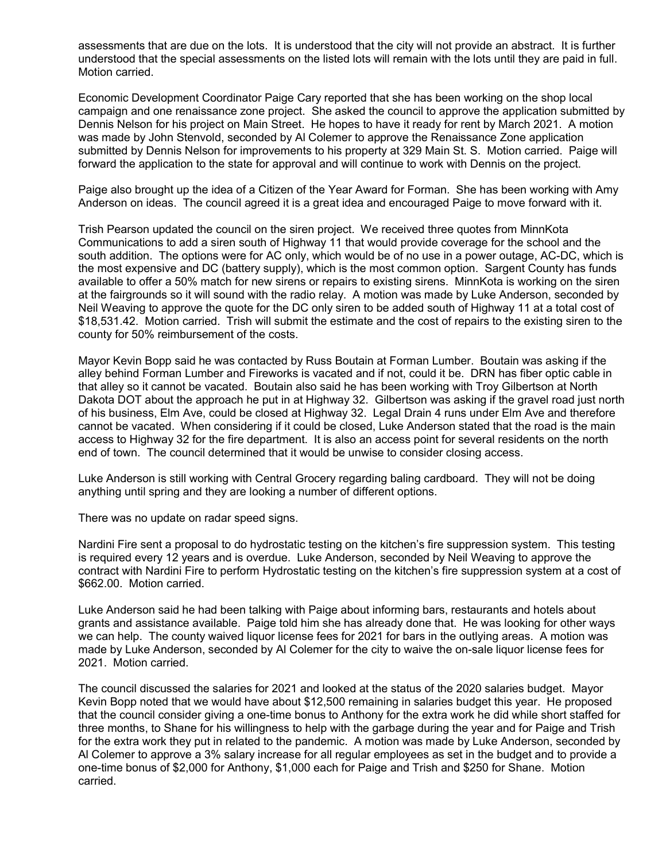assessments that are due on the lots. It is understood that the city will not provide an abstract. It is further understood that the special assessments on the listed lots will remain with the lots until they are paid in full. Motion carried.

Economic Development Coordinator Paige Cary reported that she has been working on the shop local campaign and one renaissance zone project. She asked the council to approve the application submitted by Dennis Nelson for his project on Main Street. He hopes to have it ready for rent by March 2021. A motion was made by John Stenvold, seconded by Al Colemer to approve the Renaissance Zone application submitted by Dennis Nelson for improvements to his property at 329 Main St. S. Motion carried. Paige will forward the application to the state for approval and will continue to work with Dennis on the project.

Paige also brought up the idea of a Citizen of the Year Award for Forman. She has been working with Amy Anderson on ideas. The council agreed it is a great idea and encouraged Paige to move forward with it.

Trish Pearson updated the council on the siren project. We received three quotes from MinnKota Communications to add a siren south of Highway 11 that would provide coverage for the school and the south addition. The options were for AC only, which would be of no use in a power outage, AC-DC, which is the most expensive and DC (battery supply), which is the most common option. Sargent County has funds available to offer a 50% match for new sirens or repairs to existing sirens. MinnKota is working on the siren at the fairgrounds so it will sound with the radio relay. A motion was made by Luke Anderson, seconded by Neil Weaving to approve the quote for the DC only siren to be added south of Highway 11 at a total cost of \$18,531.42. Motion carried. Trish will submit the estimate and the cost of repairs to the existing siren to the county for 50% reimbursement of the costs.

Mayor Kevin Bopp said he was contacted by Russ Boutain at Forman Lumber. Boutain was asking if the alley behind Forman Lumber and Fireworks is vacated and if not, could it be. DRN has fiber optic cable in that alley so it cannot be vacated. Boutain also said he has been working with Troy Gilbertson at North Dakota DOT about the approach he put in at Highway 32. Gilbertson was asking if the gravel road just north of his business, Elm Ave, could be closed at Highway 32. Legal Drain 4 runs under Elm Ave and therefore cannot be vacated. When considering if it could be closed, Luke Anderson stated that the road is the main access to Highway 32 for the fire department. It is also an access point for several residents on the north end of town. The council determined that it would be unwise to consider closing access.

Luke Anderson is still working with Central Grocery regarding baling cardboard. They will not be doing anything until spring and they are looking a number of different options.

There was no update on radar speed signs.

Nardini Fire sent a proposal to do hydrostatic testing on the kitchen's fire suppression system. This testing is required every 12 years and is overdue. Luke Anderson, seconded by Neil Weaving to approve the contract with Nardini Fire to perform Hydrostatic testing on the kitchen's fire suppression system at a cost of \$662.00. Motion carried.

Luke Anderson said he had been talking with Paige about informing bars, restaurants and hotels about grants and assistance available. Paige told him she has already done that. He was looking for other ways we can help. The county waived liquor license fees for 2021 for bars in the outlying areas. A motion was made by Luke Anderson, seconded by Al Colemer for the city to waive the on-sale liquor license fees for 2021. Motion carried.

The council discussed the salaries for 2021 and looked at the status of the 2020 salaries budget. Mayor Kevin Bopp noted that we would have about \$12,500 remaining in salaries budget this year. He proposed that the council consider giving a one-time bonus to Anthony for the extra work he did while short staffed for three months, to Shane for his willingness to help with the garbage during the year and for Paige and Trish for the extra work they put in related to the pandemic. A motion was made by Luke Anderson, seconded by Al Colemer to approve a 3% salary increase for all regular employees as set in the budget and to provide a one-time bonus of \$2,000 for Anthony, \$1,000 each for Paige and Trish and \$250 for Shane. Motion carried.